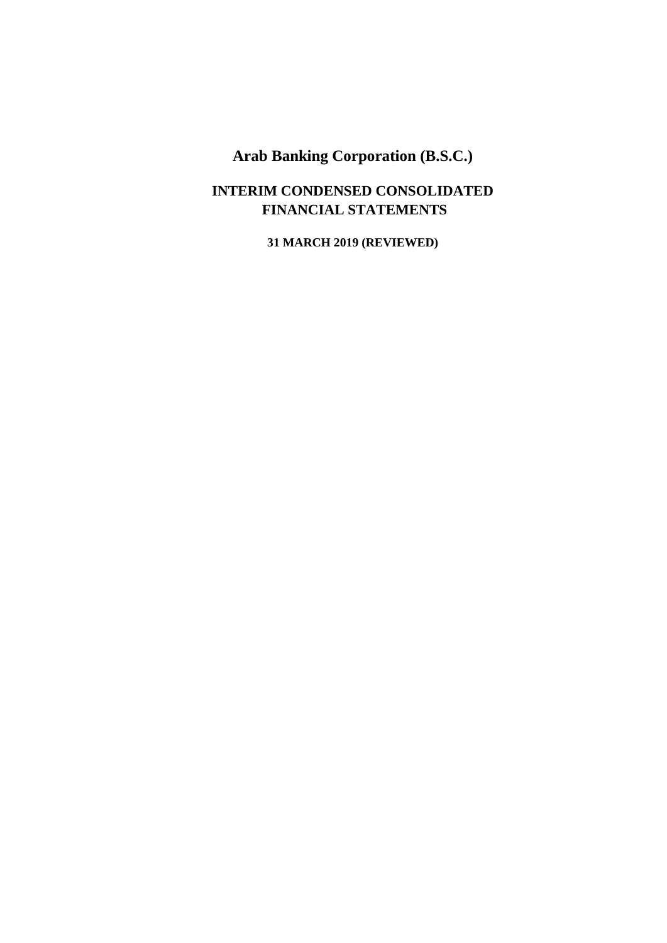### **INTERIM CONDENSED CONSOLIDATED FINANCIAL STATEMENTS**

**31 MARCH 2019 (REVIEWED)**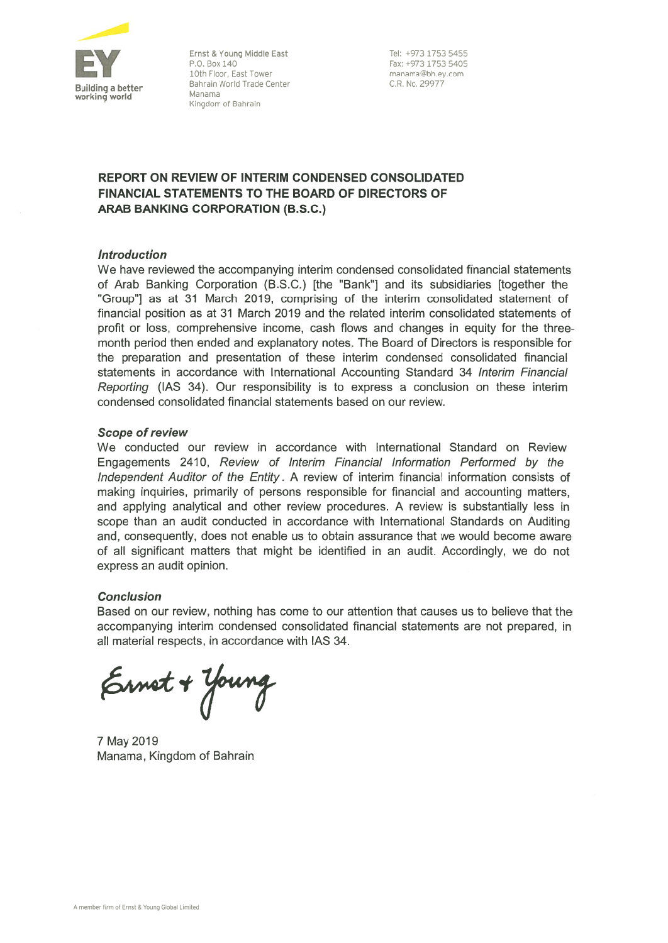

Ernst & Young Middle East P.O. Box 140 10th Floor, East Tower Bahrain World Trade Center Manama Kingdom of Bahrain

Tel: +973 1753 5455 Fax: +973 1753 5405 manama@bh.ev.com C.R. No. 29977

### **REPORT ON REVIEW OF INTERIM CONDENSED CONSOLIDATED FINANCIAL STATEMENTS TO THE BOARD OF DIRECTORS OF ARAB BANKING CORPORATION (B.S.C.)**

### **Introduction**

We have reviewed the accompanying interim condensed consolidated financial statements of Arab Banking Corporation (B.S.C.) [the "Bank"] and its subsidiaries [together the "Group"] as at 31 March 2019, comprising of the interim consolidated statement of financial position as at 31 March 2019 and the related interim consolidated statements of profit or loss, comprehensive income, cash flows and changes in equity for the threemonth period then ended and explanatory notes. The Board of Directors is responsible for the preparation and presentation of these interim condensed consolidated financial statements in accordance with International Accounting Standard 34 Interim Financial Reporting (IAS 34). Our responsibility is to express a conclusion on these interim condensed consolidated financial statements based on our review.

### **Scope of review**

We conducted our review in accordance with International Standard on Review Engagements 2410, Review of Interim Financial Information Performed by the Independent Auditor of the Entity. A review of interim financial information consists of making inquiries, primarily of persons responsible for financial and accounting matters, and applying analytical and other review procedures. A review is substantially less in scope than an audit conducted in accordance with International Standards on Auditing and, consequently, does not enable us to obtain assurance that we would become aware of all significant matters that might be identified in an audit. Accordingly, we do not express an audit opinion.

### **Conclusion**

Based on our review, nothing has come to our attention that causes us to believe that the accompanying interim condensed consolidated financial statements are not prepared, in all material respects, in accordance with IAS 34.

Ernet + Young

7 May 2019 Manama. Kingdom of Bahrain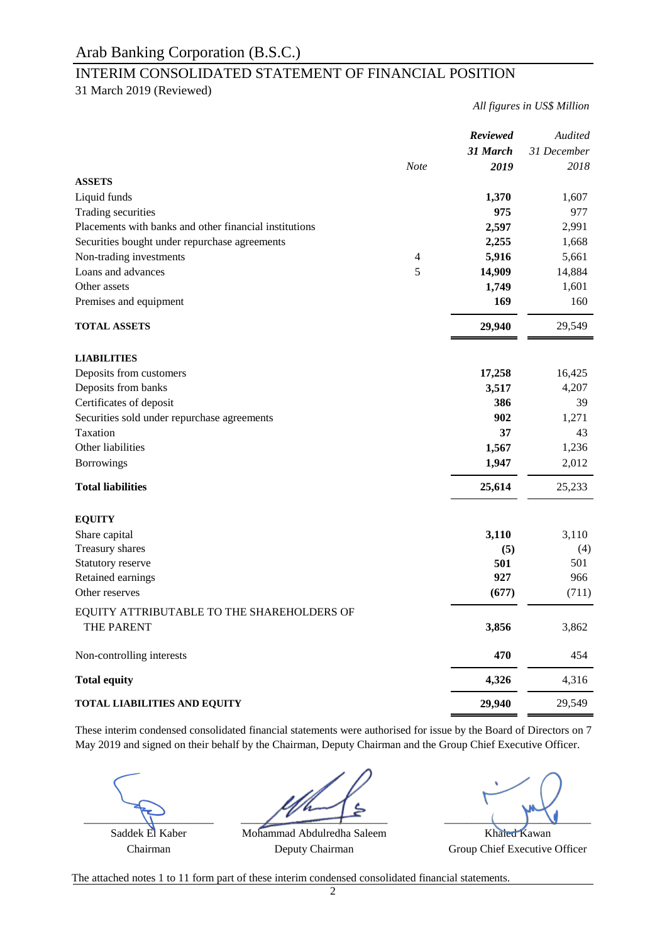### INTERIM CONSOLIDATED STATEMENT OF FINANCIAL POSITION

31 March 2019 (Reviewed)

*All figures in US\$ Million*

|                                                          | <b>Note</b>    | Reviewed<br>31 March<br>2019 | Audited<br>31 December<br>2018 |
|----------------------------------------------------------|----------------|------------------------------|--------------------------------|
| <b>ASSETS</b>                                            |                |                              |                                |
| Liquid funds                                             |                | 1,370                        | 1,607                          |
| Trading securities                                       |                | 975                          | 977                            |
| Placements with banks and other financial institutions   |                | 2,597                        | 2,991                          |
| Securities bought under repurchase agreements            |                | 2,255                        | 1,668                          |
| Non-trading investments                                  | $\overline{4}$ | 5,916                        | 5,661                          |
| Loans and advances                                       | 5              | 14,909                       | 14,884                         |
| Other assets                                             |                | 1,749                        | 1,601                          |
| Premises and equipment                                   |                | 169                          | 160                            |
| <b>TOTAL ASSETS</b>                                      |                | 29,940                       | 29,549                         |
| <b>LIABILITIES</b>                                       |                |                              |                                |
| Deposits from customers                                  |                | 17,258                       | 16,425                         |
| Deposits from banks                                      |                | 3,517                        | 4,207                          |
| Certificates of deposit                                  |                | 386                          | 39                             |
| Securities sold under repurchase agreements              |                | 902                          | 1,271                          |
| Taxation                                                 |                | 37                           | 43                             |
| Other liabilities                                        |                | 1,567                        | 1,236                          |
| <b>Borrowings</b>                                        |                | 1,947                        | 2,012                          |
| <b>Total liabilities</b>                                 |                | 25,614                       | 25,233                         |
| <b>EQUITY</b>                                            |                |                              |                                |
| Share capital                                            |                | 3,110                        | 3,110                          |
| Treasury shares                                          |                | (5)                          | (4)                            |
| Statutory reserve                                        |                | 501                          | 501                            |
| Retained earnings                                        |                | 927                          | 966                            |
| Other reserves                                           |                | (677)                        | (711)                          |
| EQUITY ATTRIBUTABLE TO THE SHAREHOLDERS OF<br>THE PARENT |                | 3,856                        | 3,862                          |
| Non-controlling interests                                |                | 470                          | 454                            |
| <b>Total equity</b>                                      |                | 4,326                        | 4,316                          |
| <b>TOTAL LIABILITIES AND EQUITY</b>                      |                | 29,940                       | 29,549                         |

These interim condensed consolidated financial statements were authorised for issue by the Board of Directors on 7 May 2019 and signed on their behalf by the Chairman, Deputy Chairman and the Group Chief Executive Officer.

\_\_\_\_\_\_\_\_\_\_\_\_\_\_\_\_\_\_\_\_\_\_\_ \_\_\_\_\_\_\_\_\_\_\_\_\_\_\_\_\_\_\_\_\_\_\_\_\_\_ \_\_\_\_\_\_\_\_\_\_\_\_\_\_\_\_\_\_\_\_\_\_\_\_\_\_ Saddek El Kaber Mohammad Abdulredha Saleem Khaled Kawan

Chairman Deputy Chairman Group Chief Executive Officer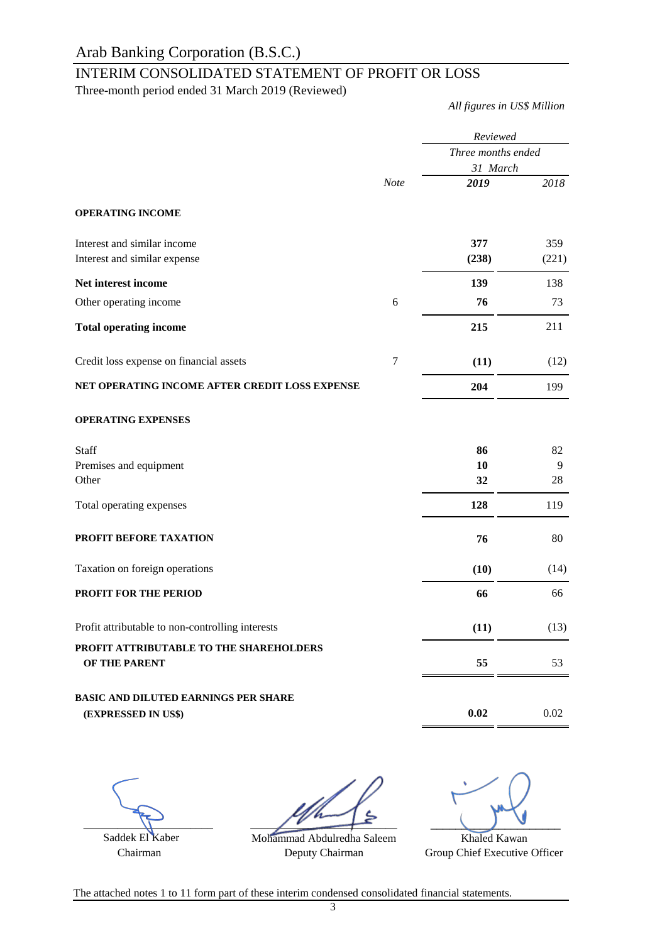### INTERIM CONSOLIDATED STATEMENT OF PROFIT OR LOSS

Three-month period ended 31 March 2019 (Reviewed)

*All figures in US\$ Million*

|                                                          |                | Reviewed<br>Three months ended |       |
|----------------------------------------------------------|----------------|--------------------------------|-------|
|                                                          |                |                                |       |
|                                                          |                | 31 March                       |       |
|                                                          | <b>Note</b>    | 2019                           | 2018  |
| <b>OPERATING INCOME</b>                                  |                |                                |       |
| Interest and similar income                              |                | 377                            | 359   |
| Interest and similar expense                             |                | (238)                          | (221) |
| Net interest income                                      |                | 139                            | 138   |
| Other operating income                                   | 6              | 76                             | 73    |
| <b>Total operating income</b>                            |                | 215                            | 211   |
| Credit loss expense on financial assets                  | $\overline{7}$ | (11)                           | (12)  |
| NET OPERATING INCOME AFTER CREDIT LOSS EXPENSE           |                | 204                            | 199   |
| <b>OPERATING EXPENSES</b>                                |                |                                |       |
| Staff                                                    |                | 86                             | 82    |
| Premises and equipment                                   |                | 10                             | 9     |
| Other                                                    |                | 32                             | 28    |
| Total operating expenses                                 |                | 128                            | 119   |
| PROFIT BEFORE TAXATION                                   |                | 76                             | 80    |
| Taxation on foreign operations                           |                | (10)                           | (14)  |
| PROFIT FOR THE PERIOD                                    |                | 66                             | 66    |
| Profit attributable to non-controlling interests         |                | (11)                           | (13)  |
| PROFIT ATTRIBUTABLE TO THE SHAREHOLDERS<br>OF THE PARENT |                | 55                             | 53    |
|                                                          |                |                                |       |
| <b>BASIC AND DILUTED EARNINGS PER SHARE</b>              |                |                                |       |
| (EXPRESSED IN US\$)                                      |                | 0.02                           | 0.02  |
|                                                          |                |                                |       |

 $\sqrt{1}$ 

 Saddek El Kaber Chairman

Mohammad Abdulredha Saleem Deputy Chairman  $\frac{1}{\sqrt{2}}$ 

Khaled Kawan Group Chief Executive Officer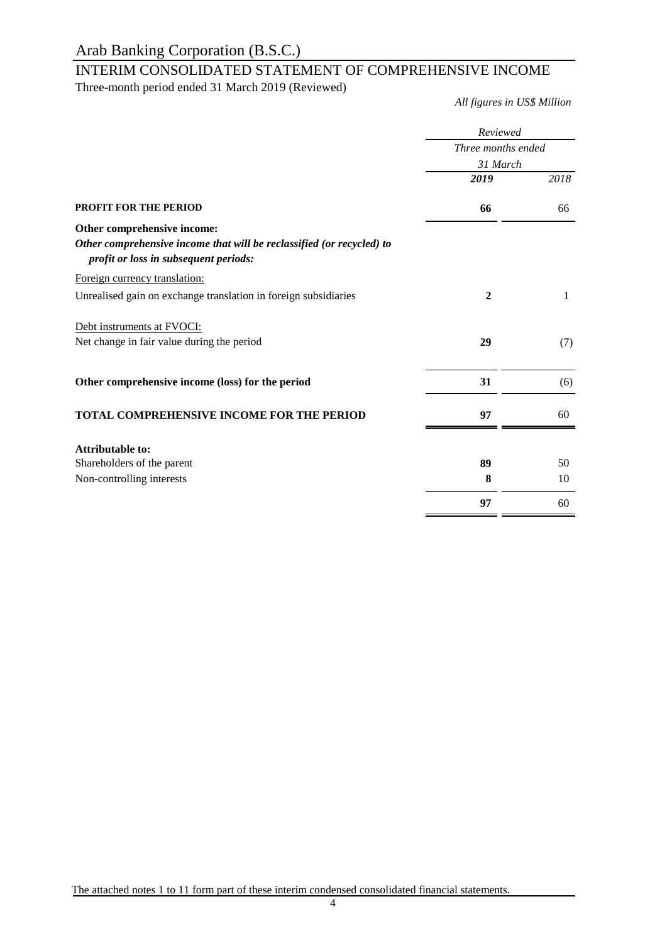## INTERIM CONSOLIDATED STATEMENT OF COMPREHENSIVE INCOME

Three-month period ended 31 March 2019 (Reviewed)

*All figures in US\$ Million*

|                                                                                                                | Reviewed                       |      |  |
|----------------------------------------------------------------------------------------------------------------|--------------------------------|------|--|
|                                                                                                                | Three months ended<br>31 March |      |  |
|                                                                                                                |                                |      |  |
|                                                                                                                | 2019                           | 2018 |  |
| <b>PROFIT FOR THE PERIOD</b>                                                                                   | 66                             | 66   |  |
| Other comprehensive income:                                                                                    |                                |      |  |
| Other comprehensive income that will be reclassified (or recycled) to<br>profit or loss in subsequent periods: |                                |      |  |
| Foreign currency translation:                                                                                  |                                |      |  |
| Unrealised gain on exchange translation in foreign subsidiaries                                                | $\mathbf{2}$                   | 1    |  |
| Debt instruments at FVOCI:                                                                                     |                                |      |  |
| Net change in fair value during the period                                                                     | 29                             | (7)  |  |
| Other comprehensive income (loss) for the period                                                               | 31                             | (6)  |  |
| TOTAL COMPREHENSIVE INCOME FOR THE PERIOD                                                                      | 97                             | 60   |  |
| <b>Attributable to:</b>                                                                                        |                                |      |  |
| Shareholders of the parent                                                                                     | 89                             | 50   |  |
| Non-controlling interests                                                                                      | 8                              | 10   |  |
|                                                                                                                | 97                             | 60   |  |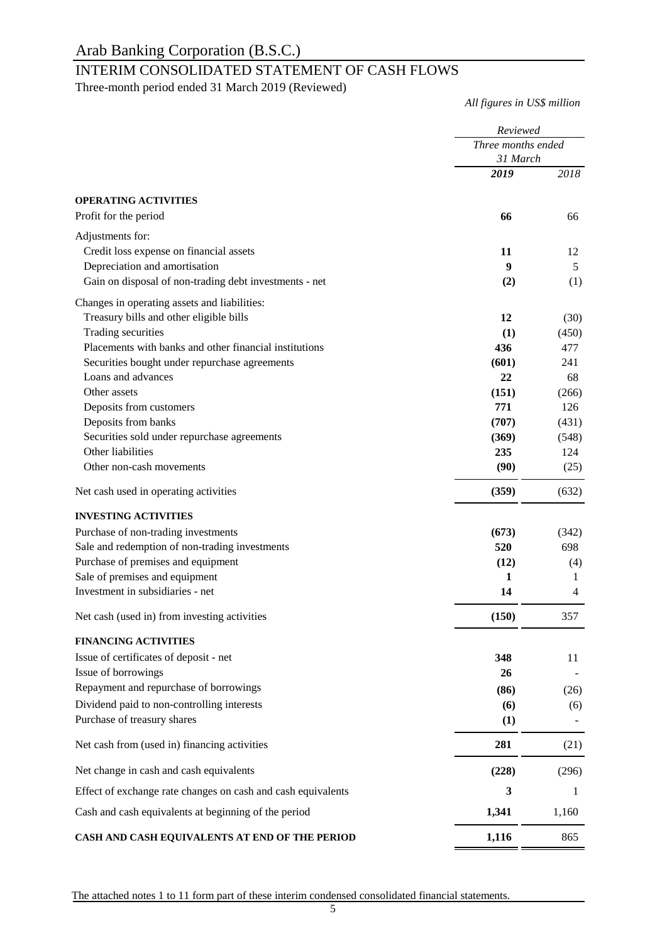### INTERIM CONSOLIDATED STATEMENT OF CASH FLOWS

Three-month period ended 31 March 2019 (Reviewed)

*All figures in US\$ million*

|                                                              | Reviewed<br>Three months ended |       |
|--------------------------------------------------------------|--------------------------------|-------|
|                                                              |                                |       |
|                                                              | 31 March                       |       |
|                                                              | 2019                           | 2018  |
| <b>OPERATING ACTIVITIES</b>                                  |                                |       |
| Profit for the period                                        | 66                             | 66    |
| Adjustments for:                                             |                                |       |
| Credit loss expense on financial assets                      | 11                             | 12    |
| Depreciation and amortisation                                | $\boldsymbol{9}$               | 5     |
| Gain on disposal of non-trading debt investments - net       | (2)                            | (1)   |
| Changes in operating assets and liabilities:                 |                                |       |
| Treasury bills and other eligible bills                      | 12                             | (30)  |
| Trading securities                                           | (1)                            | (450) |
| Placements with banks and other financial institutions       | 436                            | 477   |
| Securities bought under repurchase agreements                | (601)                          | 241   |
| Loans and advances                                           | 22                             | 68    |
| Other assets                                                 | (151)                          | (266) |
| Deposits from customers                                      | 771                            | 126   |
| Deposits from banks                                          | (707)                          | (431) |
| Securities sold under repurchase agreements                  | (369)                          | (548) |
| Other liabilities                                            | 235                            | 124   |
| Other non-cash movements                                     | (90)                           | (25)  |
| Net cash used in operating activities                        | (359)                          | (632) |
| <b>INVESTING ACTIVITIES</b>                                  |                                |       |
| Purchase of non-trading investments                          | (673)                          | (342) |
| Sale and redemption of non-trading investments               | 520                            | 698   |
| Purchase of premises and equipment                           | (12)                           | (4)   |
| Sale of premises and equipment                               | 1                              | 1     |
| Investment in subsidiaries - net                             | 14                             | 4     |
| Net cash (used in) from investing activities                 | (150)                          | 357   |
| <b>FINANCING ACTIVITIES</b>                                  |                                |       |
| Issue of certificates of deposit - net                       | 348                            | 11    |
| Issue of borrowings                                          | 26                             |       |
| Repayment and repurchase of borrowings                       | (86)                           | (26)  |
| Dividend paid to non-controlling interests                   | (6)                            | (6)   |
| Purchase of treasury shares                                  | (1)                            |       |
| Net cash from (used in) financing activities                 | 281                            | (21)  |
| Net change in cash and cash equivalents                      | (228)                          | (296) |
| Effect of exchange rate changes on cash and cash equivalents | 3                              | 1     |
| Cash and cash equivalents at beginning of the period         | 1,341                          | 1,160 |
| CASH AND CASH EQUIVALENTS AT END OF THE PERIOD               | 1,116                          | 865   |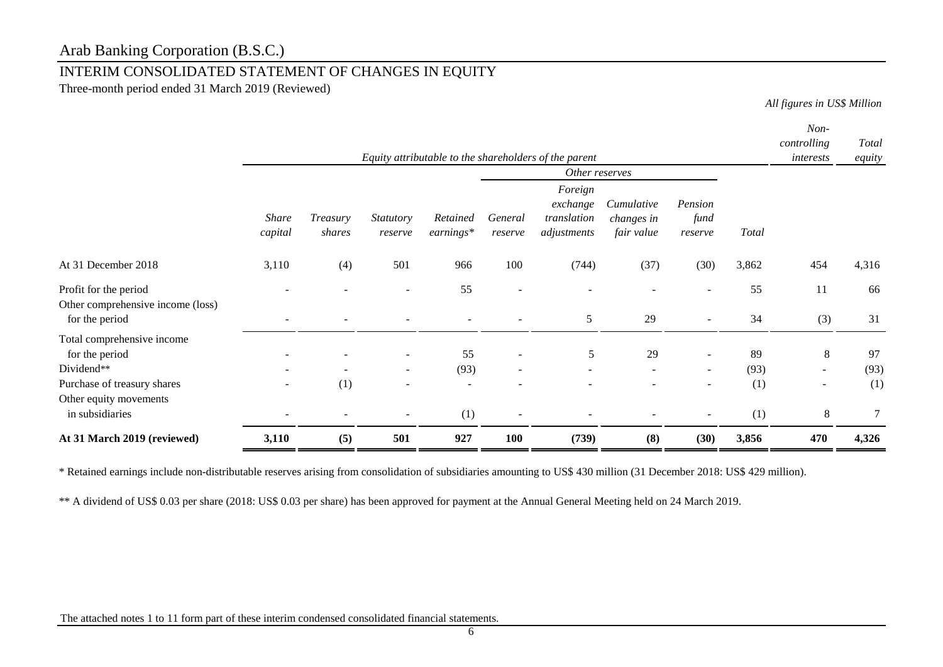### INTERIM CONSOLIDATED STATEMENT OF CHANGES IN EQUITY

Three-month period ended 31 March 2019 (Reviewed)

*All figures in US\$ Million*

|                                                                                           |                          |                                 |                                    |                       |                          | Equity attributable to the shareholders of the parent |                                        |                                    |                   | Non-<br>controlling<br>interests                                | Total<br>equity   |
|-------------------------------------------------------------------------------------------|--------------------------|---------------------------------|------------------------------------|-----------------------|--------------------------|-------------------------------------------------------|----------------------------------------|------------------------------------|-------------------|-----------------------------------------------------------------|-------------------|
|                                                                                           |                          |                                 |                                    |                       |                          | Other reserves                                        |                                        |                                    |                   |                                                                 |                   |
|                                                                                           | <b>Share</b><br>capital  | Treasury<br>shares              | <i>Statutory</i><br>reserve        | Retained<br>earnings* | General<br>reserve       | Foreign<br>exchange<br>translation<br>adjustments     | Cumulative<br>changes in<br>fair value | Pension<br>fund<br>reserve         | Total             |                                                                 |                   |
| At 31 December 2018                                                                       | 3,110                    | (4)                             | 501                                | 966                   | 100                      | (744)                                                 | (37)                                   | (30)                               | 3,862             | 454                                                             | 4,316             |
| Profit for the period<br>Other comprehensive income (loss)<br>for the period              | $\overline{\phantom{0}}$ |                                 |                                    | 55                    | $\overline{a}$           | 5                                                     | 29                                     |                                    | 55<br>34          | 11<br>(3)                                                       | 66<br>31          |
| Total comprehensive income<br>for the period<br>Dividend**<br>Purchase of treasury shares | $\overline{\phantom{0}}$ | $\overline{\phantom{0}}$<br>(1) | $\sim$<br>$\overline{\phantom{a}}$ | 55<br>(93)<br>۰       | $\overline{\phantom{a}}$ | 5<br>$\sim$                                           | 29<br>$\sim$                           | $\overline{\phantom{a}}$<br>$\sim$ | 89<br>(93)<br>(1) | $\,8\,$<br>$\overline{\phantom{a}}$<br>$\overline{\phantom{a}}$ | 97<br>(93)<br>(1) |
| Other equity movements<br>in subsidiaries                                                 |                          |                                 |                                    | (1)                   |                          |                                                       |                                        |                                    | (1)               | $8\,$                                                           | 7                 |
| At 31 March 2019 (reviewed)                                                               | 3,110                    | (5)                             | 501                                | 927                   | 100                      | (739)                                                 | (8)                                    | (30)                               | 3,856             | 470                                                             | 4,326             |

\* Retained earnings include non-distributable reserves arising from consolidation of subsidiaries amounting to US\$ 430 million (31 December 2018: US\$ 429 million).

\*\* A dividend of US\$ 0.03 per share (2018: US\$ 0.03 per share) has been approved for payment at the Annual General Meeting held on 24 March 2019.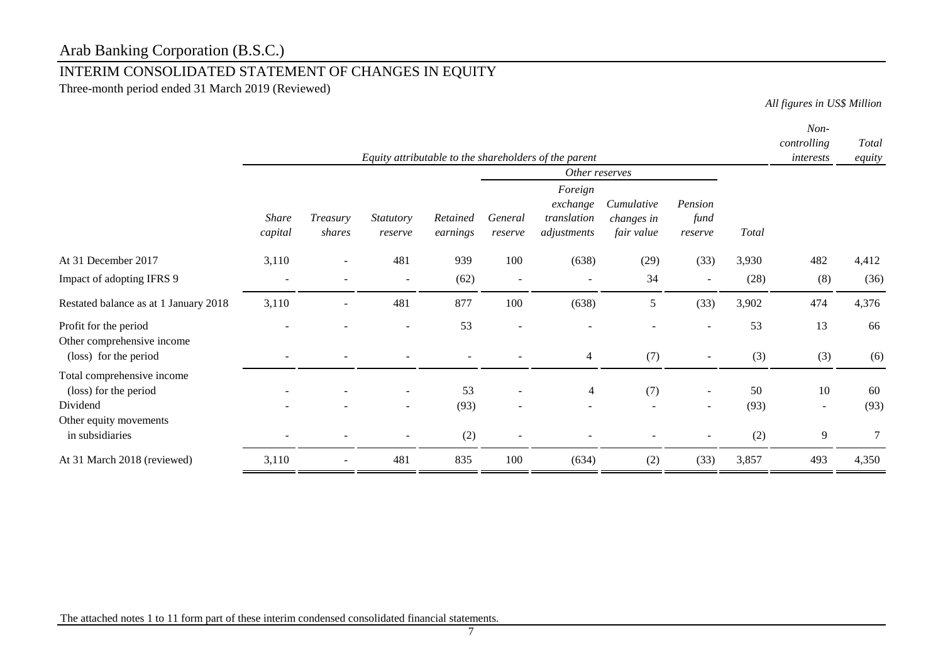## INTERIM CONSOLIDATED STATEMENT OF CHANGES IN EQUITY

Three-month period ended 31 March 2019 (Reviewed)

*All figures in US\$ Million*

|                                                                                                              | Equity attributable to the shareholders of the parent |                    |                          |                      |                          |                                                                     |                                        | Non-<br>controlling<br>interests | Total<br>equity   |                                |                 |
|--------------------------------------------------------------------------------------------------------------|-------------------------------------------------------|--------------------|--------------------------|----------------------|--------------------------|---------------------------------------------------------------------|----------------------------------------|----------------------------------|-------------------|--------------------------------|-----------------|
|                                                                                                              | <b>Share</b><br>capital                               | Treasury<br>shares | Statutory<br>reserve     | Retained<br>earnings | General<br>reserve       | Other reserves<br>Foreign<br>exchange<br>translation<br>adjustments | Cumulative<br>changes in<br>fair value | Pension<br>fund<br>reserve       | <b>Total</b>      |                                |                 |
| At 31 December 2017                                                                                          | 3,110                                                 |                    | 481                      | 939                  | 100                      | (638)                                                               | (29)                                   | (33)                             | 3,930             | 482                            | 4,412           |
| Impact of adopting IFRS 9                                                                                    | $\overline{\phantom{a}}$                              |                    | $\overline{\phantom{a}}$ | (62)                 | $\overline{\phantom{a}}$ | $\overline{\phantom{a}}$                                            | 34                                     | $\overline{\phantom{a}}$         | (28)              | (8)                            | (36)            |
| Restated balance as at 1 January 2018                                                                        | 3,110                                                 |                    | 481                      | 877                  | 100                      | (638)                                                               | 5                                      | (33)                             | 3,902             | 474                            | 4,376           |
| Profit for the period<br>Other comprehensive income<br>(loss) for the period                                 |                                                       |                    |                          | 53                   |                          | 4                                                                   | (7)                                    |                                  | 53<br>(3)         | 13<br>(3)                      | 66<br>(6)       |
| Total comprehensive income<br>(loss) for the period<br>Dividend<br>Other equity movements<br>in subsidiaries |                                                       |                    | $\overline{\phantom{a}}$ | 53<br>(93)<br>(2)    |                          | 4                                                                   | (7)                                    | $\overline{\phantom{a}}$         | 50<br>(93)<br>(2) | 10<br>$\sim$<br>$\overline{9}$ | 60<br>(93)<br>7 |
| At 31 March 2018 (reviewed)                                                                                  | 3,110                                                 |                    | 481                      | 835                  | 100                      | (634)                                                               | (2)                                    | (33)                             | 3,857             | 493                            | 4,350           |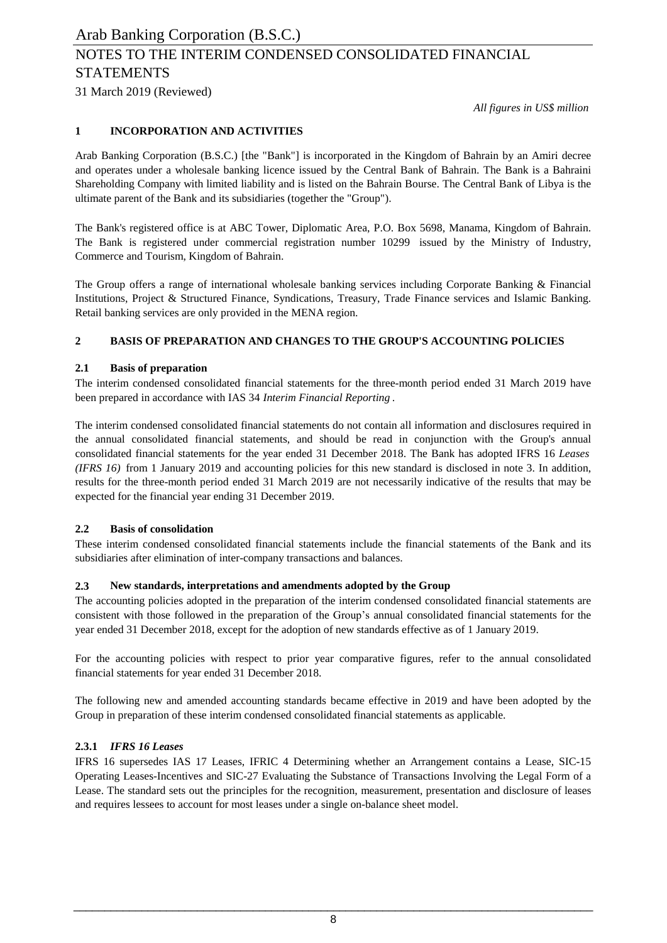31 March 2019 (Reviewed)

*All figures in US\$ million*

### **1 INCORPORATION AND ACTIVITIES**

Arab Banking Corporation (B.S.C.) [the "Bank"] is incorporated in the Kingdom of Bahrain by an Amiri decree and operates under a wholesale banking licence issued by the Central Bank of Bahrain. The Bank is a Bahraini Shareholding Company with limited liability and is listed on the Bahrain Bourse. The Central Bank of Libya is the ultimate parent of the Bank and its subsidiaries (together the "Group").

The Bank's registered office is at ABC Tower, Diplomatic Area, P.O. Box 5698, Manama, Kingdom of Bahrain. The Bank is registered under commercial registration number 10299 issued by the Ministry of Industry, Commerce and Tourism, Kingdom of Bahrain.

The Group offers a range of international wholesale banking services including Corporate Banking & Financial Institutions, Project & Structured Finance, Syndications, Treasury, Trade Finance services and Islamic Banking. Retail banking services are only provided in the MENA region.

### **2 BASIS OF PREPARATION AND CHANGES TO THE GROUP'S ACCOUNTING POLICIES**

### **2.1 Basis of preparation**

The interim condensed consolidated financial statements for the three-month period ended 31 March 2019 have been prepared in accordance with IAS 34 *Interim Financial Reporting* .

The interim condensed consolidated financial statements do not contain all information and disclosures required in the annual consolidated financial statements, and should be read in conjunction with the Group's annual consolidated financial statements for the year ended 31 December 2018. The Bank has adopted IFRS 16 *Leases (IFRS 16)* from 1 January 2019 and accounting policies for this new standard is disclosed in note 3. In addition, results for the three-month period ended 31 March 2019 are not necessarily indicative of the results that may be expected for the financial year ending 31 December 2019.

### **2.2 Basis of consolidation**

These interim condensed consolidated financial statements include the financial statements of the Bank and its subsidiaries after elimination of inter-company transactions and balances.

### **2.3 New standards, interpretations and amendments adopted by the Group**

The accounting policies adopted in the preparation of the interim condensed consolidated financial statements are consistent with those followed in the preparation of the Group's annual consolidated financial statements for the year ended 31 December 2018, except for the adoption of new standards effective as of 1 January 2019.

For the accounting policies with respect to prior year comparative figures, refer to the annual consolidated financial statements for year ended 31 December 2018.

The following new and amended accounting standards became effective in 2019 and have been adopted by the Group in preparation of these interim condensed consolidated financial statements as applicable.

### **2.3.1** *IFRS 16 Leases*

IFRS 16 supersedes IAS 17 Leases, IFRIC 4 Determining whether an Arrangement contains a Lease, SIC-15 Operating Leases-Incentives and SIC-27 Evaluating the Substance of Transactions Involving the Legal Form of a Lease. The standard sets out the principles for the recognition, measurement, presentation and disclosure of leases and requires lessees to account for most leases under a single on-balance sheet model.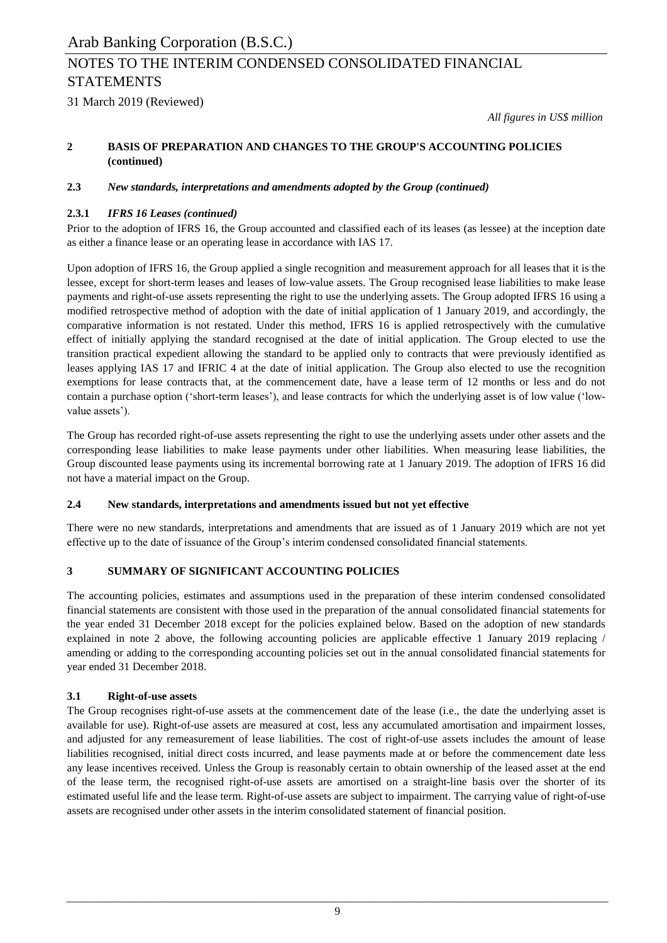31 March 2019 (Reviewed)

*All figures in US\$ million*

#### **2 BASIS OF PREPARATION AND CHANGES TO THE GROUP'S ACCOUNTING POLICIES (continued)**

### **2.3** *New standards, interpretations and amendments adopted by the Group (continued)*

### **2.3.1** *IFRS 16 Leases (continued)*

Prior to the adoption of IFRS 16, the Group accounted and classified each of its leases (as lessee) at the inception date as either a finance lease or an operating lease in accordance with IAS 17.

Upon adoption of IFRS 16, the Group applied a single recognition and measurement approach for all leases that it is the lessee, except for short-term leases and leases of low-value assets. The Group recognised lease liabilities to make lease payments and right-of-use assets representing the right to use the underlying assets. The Group adopted IFRS 16 using a modified retrospective method of adoption with the date of initial application of 1 January 2019, and accordingly, the comparative information is not restated. Under this method, IFRS 16 is applied retrospectively with the cumulative effect of initially applying the standard recognised at the date of initial application. The Group elected to use the transition practical expedient allowing the standard to be applied only to contracts that were previously identified as leases applying IAS 17 and IFRIC 4 at the date of initial application. The Group also elected to use the recognition exemptions for lease contracts that, at the commencement date, have a lease term of 12 months or less and do not contain a purchase option ('short-term leases'), and lease contracts for which the underlying asset is of low value ('lowvalue assets').

The Group has recorded right-of-use assets representing the right to use the underlying assets under other assets and the corresponding lease liabilities to make lease payments under other liabilities. When measuring lease liabilities, the Group discounted lease payments using its incremental borrowing rate at 1 January 2019. The adoption of IFRS 16 did not have a material impact on the Group.

### **2.4 New standards, interpretations and amendments issued but not yet effective**

There were no new standards, interpretations and amendments that are issued as of 1 January 2019 which are not yet effective up to the date of issuance of the Group's interim condensed consolidated financial statements.

### **3 SUMMARY OF SIGNIFICANT ACCOUNTING POLICIES**

The accounting policies, estimates and assumptions used in the preparation of these interim condensed consolidated financial statements are consistent with those used in the preparation of the annual consolidated financial statements for the year ended 31 December 2018 except for the policies explained below. Based on the adoption of new standards explained in note 2 above, the following accounting policies are applicable effective 1 January 2019 replacing / amending or adding to the corresponding accounting policies set out in the annual consolidated financial statements for year ended 31 December 2018.

### **3.1 Right-of-use assets**

The Group recognises right-of-use assets at the commencement date of the lease (i.e., the date the underlying asset is available for use). Right-of-use assets are measured at cost, less any accumulated amortisation and impairment losses, and adjusted for any remeasurement of lease liabilities. The cost of right-of-use assets includes the amount of lease liabilities recognised, initial direct costs incurred, and lease payments made at or before the commencement date less any lease incentives received. Unless the Group is reasonably certain to obtain ownership of the leased asset at the end of the lease term, the recognised right-of-use assets are amortised on a straight-line basis over the shorter of its estimated useful life and the lease term. Right-of-use assets are subject to impairment. The carrying value of right-of-use assets are recognised under other assets in the interim consolidated statement of financial position.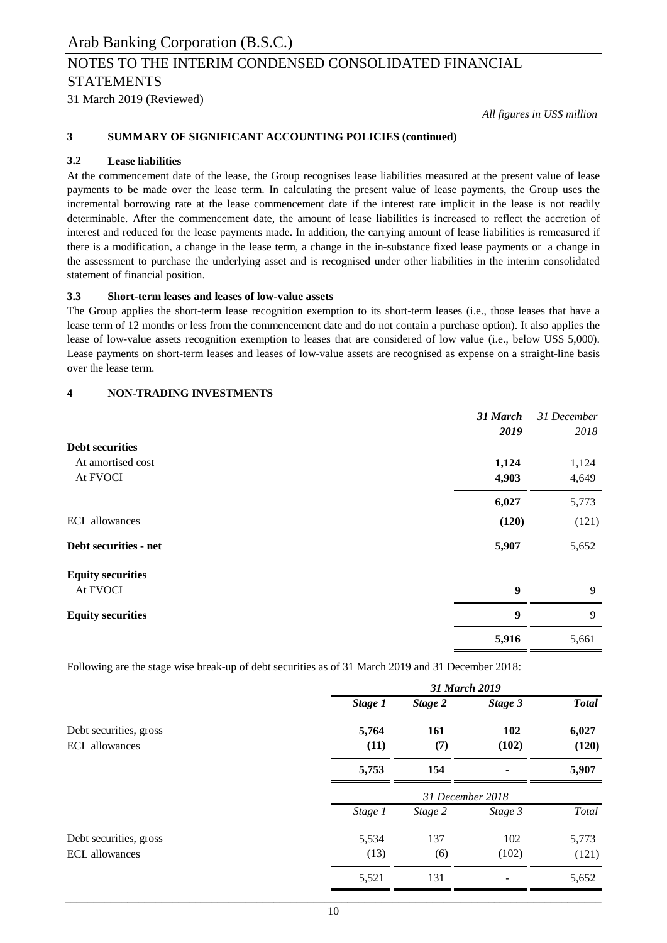31 March 2019 (Reviewed)

*All figures in US\$ million*

### **3 SUMMARY OF SIGNIFICANT ACCOUNTING POLICIES (continued)**

### **3.2 Lease liabilities**

At the commencement date of the lease, the Group recognises lease liabilities measured at the present value of lease payments to be made over the lease term. In calculating the present value of lease payments, the Group uses the incremental borrowing rate at the lease commencement date if the interest rate implicit in the lease is not readily determinable. After the commencement date, the amount of lease liabilities is increased to reflect the accretion of interest and reduced for the lease payments made. In addition, the carrying amount of lease liabilities is remeasured if there is a modification, a change in the lease term, a change in the in-substance fixed lease payments or a change in the assessment to purchase the underlying asset and is recognised under other liabilities in the interim consolidated statement of financial position.

### **3.3 Short-term leases and leases of low-value assets**

The Group applies the short-term lease recognition exemption to its short-term leases (i.e., those leases that have a lease term of 12 months or less from the commencement date and do not contain a purchase option). It also applies the lease of low-value assets recognition exemption to leases that are considered of low value (i.e., below US\$ 5,000). Lease payments on short-term leases and leases of low-value assets are recognised as expense on a straight-line basis over the lease term.

### **4 NON-TRADING INVESTMENTS**

|                          | 31 March<br>2019 | 31 December<br>2018 |
|--------------------------|------------------|---------------------|
| <b>Debt securities</b>   |                  |                     |
| At amortised cost        | 1,124            | 1,124               |
| At FVOCI                 | 4,903            | 4,649               |
|                          | 6,027            | 5,773               |
| <b>ECL</b> allowances    | (120)            | (121)               |
| Debt securities - net    | 5,907            | 5,652               |
| <b>Equity securities</b> |                  |                     |
| At FVOCI                 | $\boldsymbol{9}$ | 9                   |
| <b>Equity securities</b> | 9                | 9                   |
|                          | 5,916            | 5,661               |

Following are the stage wise break-up of debt securities as of 31 March 2019 and 31 December 2018:

|                                                 | 31 March 2019    |            |              |                |  |  |
|-------------------------------------------------|------------------|------------|--------------|----------------|--|--|
|                                                 | Stage 1          | Stage 2    | Stage 3      | <b>Total</b>   |  |  |
| Debt securities, gross<br><b>ECL</b> allowances | 5,764<br>(11)    | 161<br>(7) | 102<br>(102) | 6,027<br>(120) |  |  |
|                                                 | 5,753            | 154        | ۰            | 5,907          |  |  |
|                                                 | 31 December 2018 |            |              |                |  |  |
|                                                 | Stage 1          | Stage 2    | Stage 3      | Total          |  |  |
| Debt securities, gross<br><b>ECL</b> allowances | 5,534<br>(13)    | 137<br>(6) | 102<br>(102) | 5,773<br>(121) |  |  |
|                                                 | 5,521            | 131        |              | 5,652          |  |  |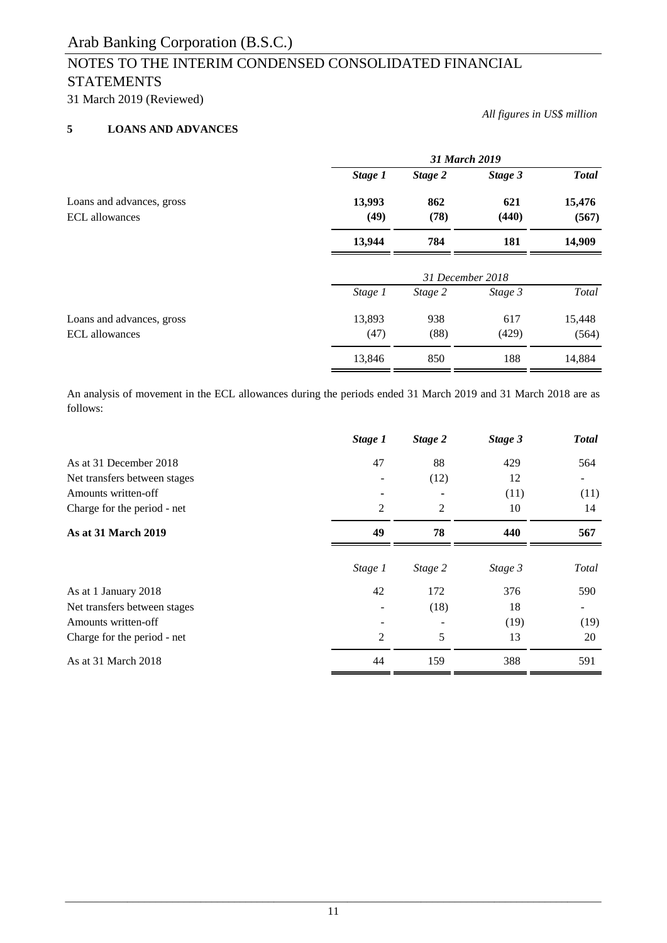31 March 2019 (Reviewed)

### **5 LOANS AND ADVANCES**

*All figures in US\$ million*

|                                             | 31 March 2019  |                  |              |                 |  |
|---------------------------------------------|----------------|------------------|--------------|-----------------|--|
|                                             | Stage 1        | Stage 2          | Stage 3      | <b>Total</b>    |  |
| Loans and advances, gross<br>ECL allowances | 13,993<br>(49) | 862<br>(78)      | 621<br>(440) | 15,476<br>(567) |  |
|                                             | 13,944         | 784              | 181          | 14,909          |  |
|                                             |                | 31 December 2018 |              |                 |  |
|                                             | Stage 1        | Stage 2          | Stage 3      | Total           |  |
| Loans and advances, gross                   | 13,893         | 938              | 617          | 15,448          |  |
| <b>ECL</b> allowances                       | (47)           | (88)             | (429)        | (564)           |  |
|                                             | 13,846         | 850              | 188          | 14,884          |  |

An analysis of movement in the ECL allowances during the periods ended 31 March 2019 and 31 March 2018 are as follows:

| Stage 1 | Stage 2        | Stage 3 | <b>Total</b> |
|---------|----------------|---------|--------------|
| 47      | 88             | 429     | 564          |
|         | (12)           | 12      |              |
|         |                | (11)    | (11)         |
| 2       | $\overline{2}$ | 10      | 14           |
| 49      | 78             | 440     | 567          |
| Stage 1 | Stage 2        | Stage 3 | Total        |
| 42      | 172            | 376     | 590          |
|         | (18)           | 18      |              |
|         |                | (19)    | (19)         |
| 2       | 5              | 13      | 20           |
| 44      | 159            | 388     | 591          |
|         |                |         |              |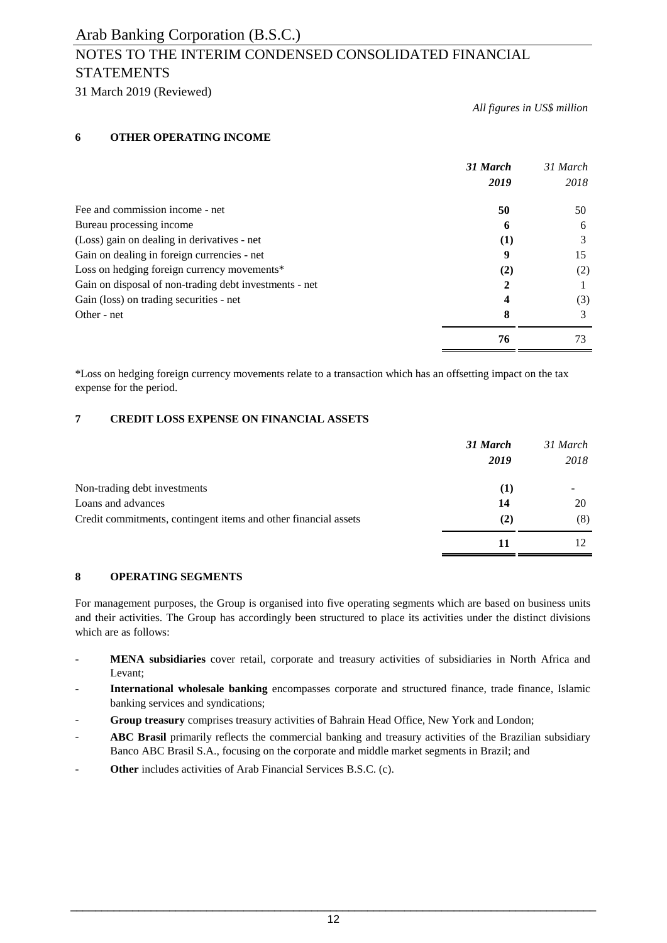### NOTES TO THE INTERIM CONDENSED CONSOLIDATED FINANCIAL **STATEMENTS**

31 March 2019 (Reviewed)

*All figures in US\$ million*

### **6 OTHER OPERATING INCOME**

|                                                        | 31 March<br>2019 | 31 March<br>2018 |
|--------------------------------------------------------|------------------|------------------|
| Fee and commission income - net                        | 50               | 50               |
| Bureau processing income                               | 6                | 6                |
| (Loss) gain on dealing in derivatives - net            | $\bf(1)$         |                  |
| Gain on dealing in foreign currencies - net            | 9                | 15               |
| Loss on hedging foreign currency movements*            | (2)              | (2)              |
| Gain on disposal of non-trading debt investments - net |                  |                  |
| Gain (loss) on trading securities - net                | 4                | (3)              |
| Other - net                                            | 8                |                  |
|                                                        | 76               | 73               |

\*Loss on hedging foreign currency movements relate to a transaction which has an offsetting impact on the tax expense for the period.

### **7 CREDIT LOSS EXPENSE ON FINANCIAL ASSETS**

|                                                                 | 31 March<br>2019 | 31 March<br>2018 |
|-----------------------------------------------------------------|------------------|------------------|
| Non-trading debt investments                                    | (1)              |                  |
| Loans and advances                                              | 14               | 20               |
| Credit commitments, contingent items and other financial assets | (2)              | (8)              |
|                                                                 | 11               |                  |

### **8 OPERATING SEGMENTS**

For management purposes, the Group is organised into five operating segments which are based on business units and their activities. The Group has accordingly been structured to place its activities under the distinct divisions which are as follows:

- **MENA subsidiaries** cover retail, corporate and treasury activities of subsidiaries in North Africa and Levant;
- **International wholesale banking** encompasses corporate and structured finance, trade finance, Islamic banking services and syndications;
- **Group treasury** comprises treasury activities of Bahrain Head Office, New York and London;
- **ABC Brasil** primarily reflects the commercial banking and treasury activities of the Brazilian subsidiary Banco ABC Brasil S.A., focusing on the corporate and middle market segments in Brazil; and
- **Other** includes activities of Arab Financial Services B.S.C. (c).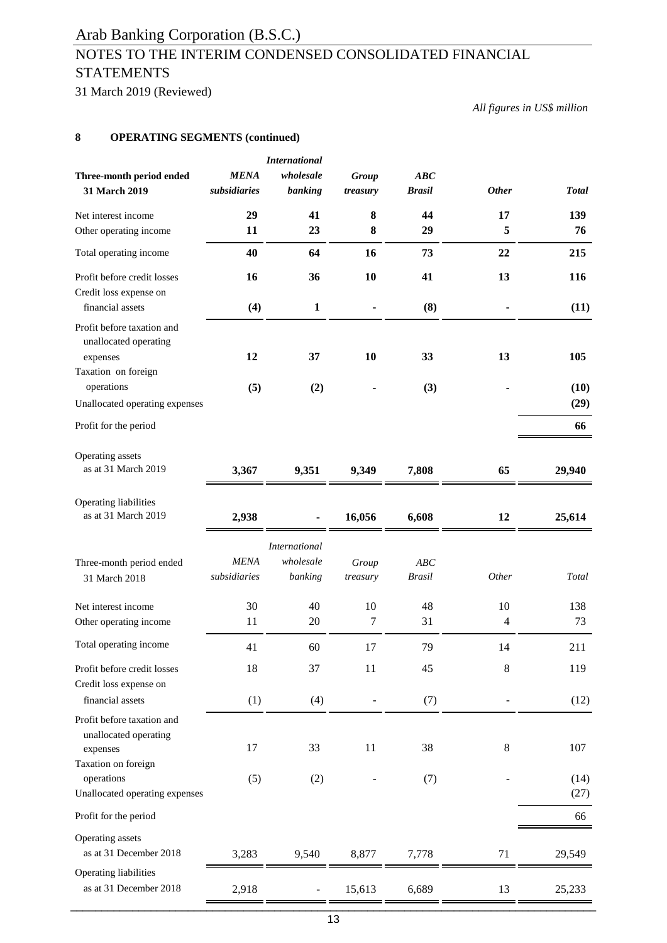## NOTES TO THE INTERIM CONDENSED CONSOLIDATED FINANCIAL **STATEMENTS**

31 March 2019 (Reviewed)

*All figures in US\$ million*

### **8 OPERATING SEGMENTS (continued)**

| Three-month period ended<br>31 March 2019                                                            | <b>MENA</b><br>subsidiaries | <b>International</b><br>wholesale<br>banking | <b>Group</b><br>treasury | ABC<br><b>Brasil</b> | <b>Other</b> | <b>Total</b> |
|------------------------------------------------------------------------------------------------------|-----------------------------|----------------------------------------------|--------------------------|----------------------|--------------|--------------|
| Net interest income                                                                                  | 29                          | 41                                           | 8                        | 44                   | 17           | 139          |
| Other operating income                                                                               | 11                          | 23                                           | 8                        | 29                   | 5            | 76           |
| Total operating income                                                                               | 40                          | 64                                           | 16                       | 73                   | 22           | 215          |
| Profit before credit losses<br>Credit loss expense on<br>financial assets                            | 16<br>(4)                   | 36<br>$\mathbf{1}$                           | 10                       | 41<br>(8)            | 13           | 116<br>(11)  |
| Profit before taxation and<br>unallocated operating<br>expenses<br>Taxation on foreign               | 12                          | 37                                           | 10                       | 33                   | 13           | 105          |
| operations<br>Unallocated operating expenses                                                         | (5)                         | (2)                                          |                          | (3)                  |              | (10)<br>(29) |
| Profit for the period                                                                                |                             |                                              |                          |                      |              | 66           |
| Operating assets<br>as at 31 March 2019                                                              | 3,367                       | 9,351                                        | 9,349                    | 7,808                | 65           | 29,940       |
| Operating liabilities<br>as at 31 March 2019                                                         | 2,938                       |                                              | 16,056                   | 6,608                | 12           | 25,614       |
| Three-month period ended<br>31 March 2018                                                            | <b>MENA</b><br>subsidiaries | <b>International</b><br>wholesale<br>banking | Group<br>treasury        | ABC<br><b>Brasil</b> | Other        | Total        |
| Net interest income<br>Other operating income                                                        | 30<br>11                    | 40<br>20                                     | 10<br>7                  | 48<br>31             | 10<br>4      | 138<br>73    |
| Total operating income                                                                               | 41                          | 60                                           | 17                       | 79                   | 14           | 211          |
| Profit before credit losses<br>Credit loss expense on                                                | 18                          | 37                                           | 11                       | 45                   | 8            | 119          |
| financial assets                                                                                     | (1)                         | (4)                                          |                          | (7)                  |              | (12)         |
| Profit before taxation and<br>unallocated operating<br>expenses<br>Taxation on foreign<br>operations | 17<br>(5)                   | 33<br>(2)                                    | 11                       | 38<br>(7)            | 8            | 107<br>(14)  |
| Unallocated operating expenses                                                                       |                             |                                              |                          |                      |              | (27)         |
| Profit for the period                                                                                |                             |                                              |                          |                      |              | 66           |
| Operating assets<br>as at 31 December 2018                                                           | 3,283                       | 9,540                                        | 8,877                    | 7,778                | 71           | 29,549       |
| Operating liabilities<br>as at 31 December 2018                                                      | 2,918                       |                                              | 15,613                   | 6,689                | 13           | 25,233       |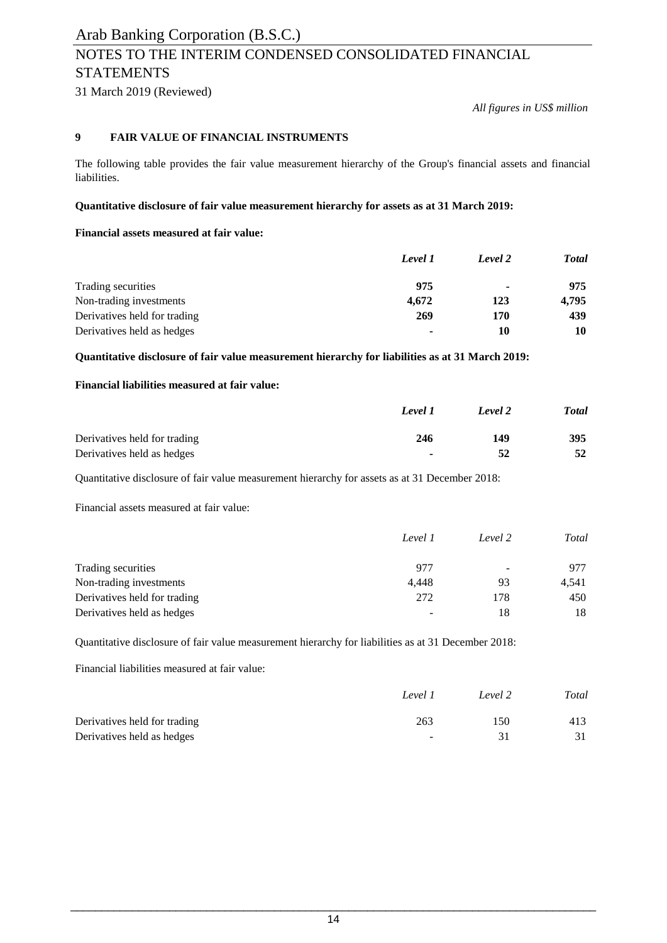## NOTES TO THE INTERIM CONDENSED CONSOLIDATED FINANCIAL **STATEMENTS**

31 March 2019 (Reviewed)

*All figures in US\$ million*

### **9 FAIR VALUE OF FINANCIAL INSTRUMENTS**

The following table provides the fair value measurement hierarchy of the Group's financial assets and financial liabilities.

### **Quantitative disclosure of fair value measurement hierarchy for assets as at 31 March 2019:**

### **Financial assets measured at fair value:**

|                              | Level 1        | Level 2        | <b>Total</b> |
|------------------------------|----------------|----------------|--------------|
| Trading securities           | 975            | $\blacksquare$ | 975          |
| Non-trading investments      | 4.672          | 123            | 4.795        |
| Derivatives held for trading | 269            | 170            | 439          |
| Derivatives held as hedges   | $\blacksquare$ | 10             | 10           |

**Quantitative disclosure of fair value measurement hierarchy for liabilities as at 31 March 2019:**

### **Financial liabilities measured at fair value:**

|                              | Level 1        | Level 2 | <b>Total</b> |
|------------------------------|----------------|---------|--------------|
| Derivatives held for trading | 246            | 149     | 395          |
| Derivatives held as hedges   | $\blacksquare$ | 52      | 52           |

Quantitative disclosure of fair value measurement hierarchy for assets as at 31 December 2018:

Financial assets measured at fair value:

|                              | Level 1                  | Level 2 | Total |
|------------------------------|--------------------------|---------|-------|
| Trading securities           | 977                      | ۰       | 977   |
| Non-trading investments      | 4.448                    | 93      | 4.541 |
| Derivatives held for trading | 272                      | 178     | 450   |
| Derivatives held as hedges   | $\overline{\phantom{0}}$ | 18      | 18    |

Quantitative disclosure of fair value measurement hierarchy for liabilities as at 31 December 2018:

Financial liabilities measured at fair value:

|                              | Level 1 | Level 2 | Total |
|------------------------------|---------|---------|-------|
| Derivatives held for trading | 263     | 150     | 413   |
| Derivatives held as hedges   | $\sim$  |         |       |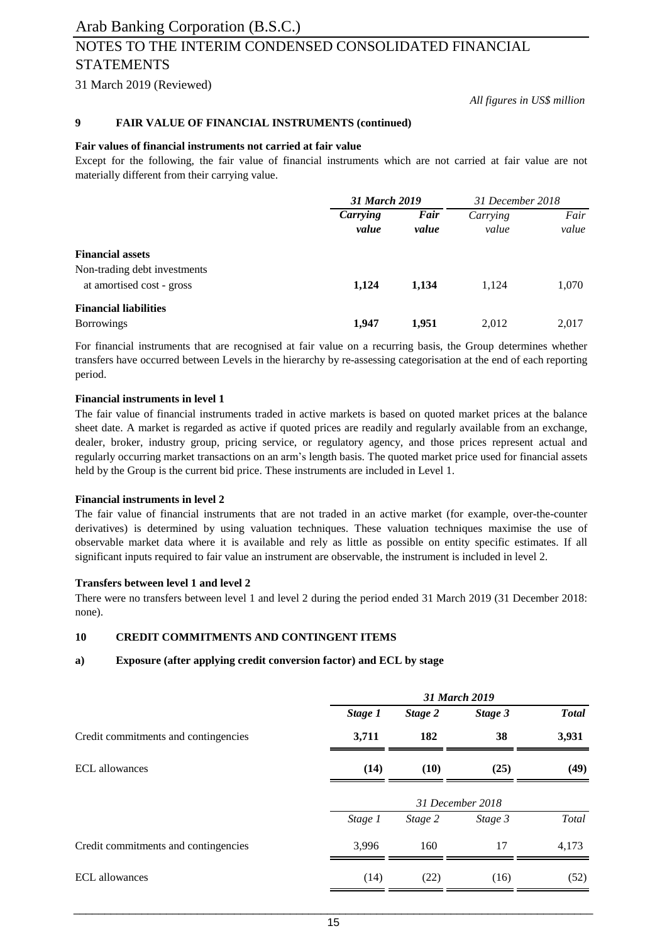## NOTES TO THE INTERIM CONDENSED CONSOLIDATED FINANCIAL STATEMENTS

31 March 2019 (Reviewed)

*All figures in US\$ million*

#### **9 FAIR VALUE OF FINANCIAL INSTRUMENTS (continued)**

#### **Fair values of financial instruments not carried at fair value**

Except for the following, the fair value of financial instruments which are not carried at fair value are not materially different from their carrying value.

|                                                           | 31 March 2019     |               | 31 December 2018  |               |
|-----------------------------------------------------------|-------------------|---------------|-------------------|---------------|
|                                                           | Carrying<br>value | Fair<br>value | Carrying<br>value | Fair<br>value |
| <b>Financial assets</b>                                   |                   |               |                   |               |
| Non-trading debt investments<br>at amortised cost - gross | 1,124             | 1,134         | 1,124             | 1,070         |
| <b>Financial liabilities</b><br><b>Borrowings</b>         | 1,947             | 1,951         | 2,012             | 2,017         |

For financial instruments that are recognised at fair value on a recurring basis, the Group determines whether transfers have occurred between Levels in the hierarchy by re-assessing categorisation at the end of each reporting period.

#### **Financial instruments in level 1**

The fair value of financial instruments traded in active markets is based on quoted market prices at the balance sheet date. A market is regarded as active if quoted prices are readily and regularly available from an exchange, dealer, broker, industry group, pricing service, or regulatory agency, and those prices represent actual and regularly occurring market transactions on an arm's length basis. The quoted market price used for financial assets held by the Group is the current bid price. These instruments are included in Level 1.

#### **Financial instruments in level 2**

The fair value of financial instruments that are not traded in an active market (for example, over-the-counter derivatives) is determined by using valuation techniques. These valuation techniques maximise the use of observable market data where it is available and rely as little as possible on entity specific estimates. If all significant inputs required to fair value an instrument are observable, the instrument is included in level 2.

#### **Transfers between level 1 and level 2**

There were no transfers between level 1 and level 2 during the period ended 31 March 2019 (31 December 2018: none).

#### **10 CREDIT COMMITMENTS AND CONTINGENT ITEMS**

#### **a) Exposure (after applying credit conversion factor) and ECL by stage**

|                                      | 31 March 2019    |         |         |              |  |
|--------------------------------------|------------------|---------|---------|--------------|--|
|                                      | Stage 1          | Stage 2 | Stage 3 | <b>Total</b> |  |
| Credit commitments and contingencies | 3,711            | 182     | 38      | 3,931        |  |
| <b>ECL</b> allowances                | (14)             | (10)    | (25)    | (49)         |  |
|                                      | 31 December 2018 |         |         |              |  |
|                                      | Stage 1          | Stage 2 | Stage 3 | Total        |  |
| Credit commitments and contingencies | 3,996            | 160     | 17      | 4,173        |  |
| <b>ECL</b> allowances                | (14)             | (22)    | (16)    | (52)         |  |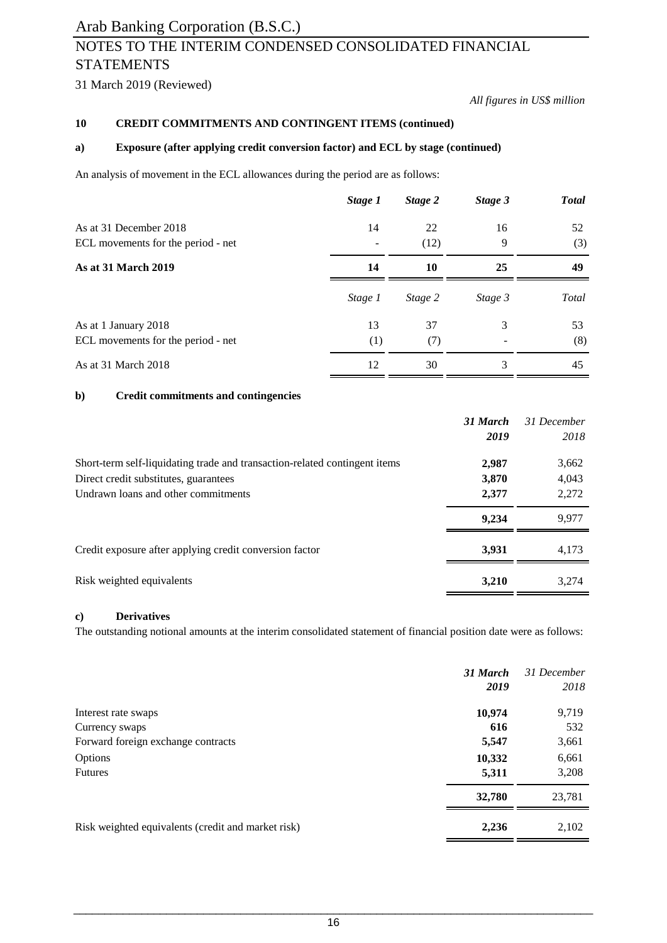## NOTES TO THE INTERIM CONDENSED CONSOLIDATED FINANCIAL STATEMENTS

31 March 2019 (Reviewed)

*All figures in US\$ million*

#### **10 CREDIT COMMITMENTS AND CONTINGENT ITEMS (continued)**

### **a) Exposure (after applying credit conversion factor) and ECL by stage (continued)**

An analysis of movement in the ECL allowances during the period are as follows:

|                                    | Stage 1 | Stage 2 | Stage 3           | <b>Total</b> |
|------------------------------------|---------|---------|-------------------|--------------|
| As at 31 December 2018             | 14      | 22      | 16                | 52           |
| ECL movements for the period - net |         | (12)    | 9                 | (3)          |
| <b>As at 31 March 2019</b>         | 14      | 10      | 25                | 49           |
|                                    | Stage 1 | Stage 2 | Stage 3           | Total        |
| As at 1 January 2018               | 13      | 37      | 3                 | 53           |
| ECL movements for the period - net | (1)     | (7)     | $\qquad \qquad -$ | (8)          |
| As at 31 March 2018                | 12      | 30      | 3                 | 45           |

### **b) Credit commitments and contingencies**

|                                                                            | 31 March | 31 December |
|----------------------------------------------------------------------------|----------|-------------|
|                                                                            | 2019     | 2018        |
| Short-term self-liquidating trade and transaction-related contingent items | 2,987    | 3,662       |
| Direct credit substitutes, guarantees                                      | 3,870    | 4,043       |
| Undrawn loans and other commitments                                        | 2,377    | 2,272       |
|                                                                            | 9.234    | 9,977       |
| Credit exposure after applying credit conversion factor                    | 3.931    | 4.173       |
| Risk weighted equivalents                                                  | 3,210    | 3,274       |

### **c) Derivatives**

The outstanding notional amounts at the interim consolidated statement of financial position date were as follows:

|                                                    | 31 March<br>2019 | 31 December<br>2018 |
|----------------------------------------------------|------------------|---------------------|
| Interest rate swaps                                | 10,974           | 9,719               |
| Currency swaps                                     | 616              | 532                 |
| Forward foreign exchange contracts                 | 5,547            | 3,661               |
| Options                                            | 10,332           | 6,661               |
| <b>Futures</b>                                     | 5,311            | 3,208               |
|                                                    | 32,780           | 23,781              |
| Risk weighted equivalents (credit and market risk) | 2,236            | 2,102               |